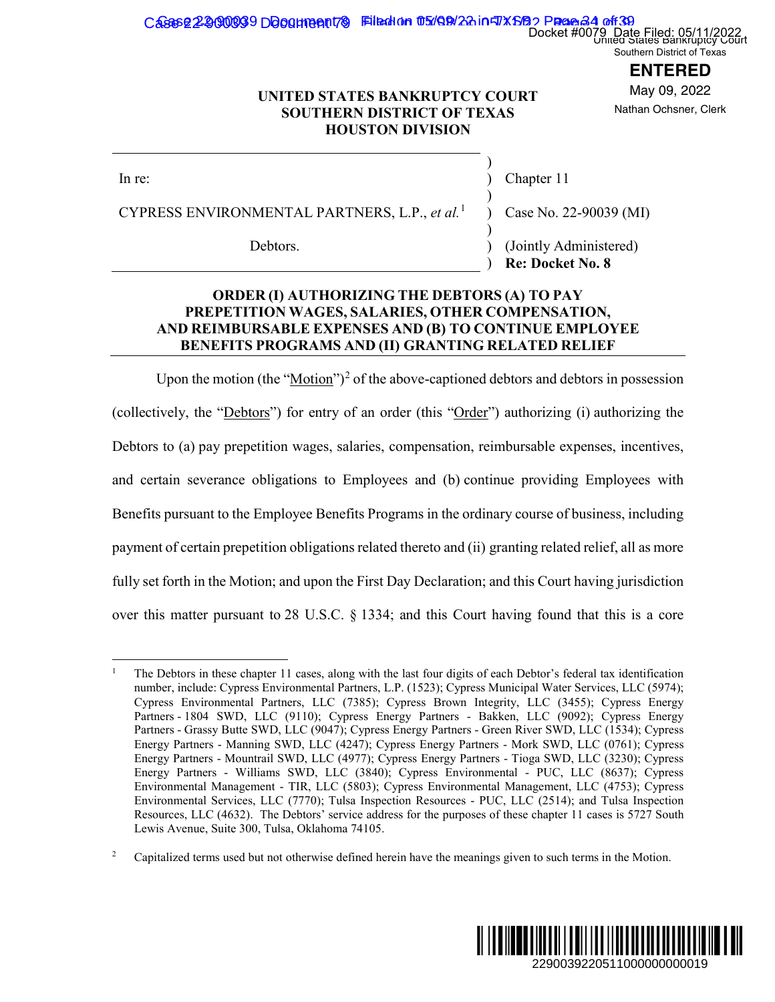## Cases 22900039 Document 8 Filed in 05/09/22 in TXSB Page 34 of 39 Docket #0079 Date Filed: 05/11/2022

Southern District of Texas

## **ENTERED**

May 09, 2022 Nathan Ochsner, Clerk

### **UNITED STATES BANKRUPTCY COURT SOUTHERN DISTRICT OF TEXAS HOUSTON DIVISION**

CYPRESS ENVIRONMENTAL PARTNERS, L.P., *et al.*<sup>1</sup>

Chapter 11

)

)

)

) Case No. 22-90039 (MI)

Debtors. (Jointly Administered) ) **Re: Docket No.** 

## **ORDER (I) AUTHORIZING THE DEBTORS (A) TO PAY PREPETITION WAGES, SALARIES, OTHER COMPENSATION, AND REIMBURSABLE EXPENSES AND (B) TO CONTINUE EMPLOYEE BENEFITS PROGRAMS AND (II) GRANTING RELATED RELIEF**

Upon the motion (the " $Motion$ ")<sup>2</sup> of the above-captioned debtors and debtors in possession</u> (collectively, the "Debtors") for entry of an order (this "Order") authorizing (i) authorizing the Debtors to (a) pay prepetition wages, salaries, compensation, reimbursable expenses, incentives, and certain severance obligations to Employees and (b) continue providing Employees with Benefits pursuant to the Employee Benefits Programs in the ordinary course of business, including payment of certain prepetition obligations related thereto and (ii) granting related relief, all as more fully set forth in the Motion; and upon the First Day Declaration; and this Court having jurisdiction over this matter pursuant to 28 U.S.C. § 1334; and this Court having found that this is a core Docket #0079 Date Filed: 058/11/2022<br> **ENTERED**<br> **ENTERED**<br> **ENTERED**<br> **ENTERED**<br> **ENTERED**<br> **ENTERED**<br> **ENTERED**<br> **ENTERED**<br> **ENTERED**<br> **ENTERED**<br> **ENTERED**<br> **ENTERED**<br> **ENTERED**<br> **ENDERENCERENCERED**<br> **ENDERENCERENCERED**<br>



<sup>1</sup> The Debtors in these chapter 11 cases, along with the last four digits of each Debtor's federal tax identification number, include: Cypress Environmental Partners, L.P. (1523); Cypress Municipal Water Services, LLC (5974); Cypress Environmental Partners, LLC (7385); Cypress Brown Integrity, LLC (3455); Cypress Energy Partners - 1804 SWD, LLC (9110); Cypress Energy Partners - Bakken, LLC (9092); Cypress Energy Partners - Grassy Butte SWD, LLC (9047); Cypress Energy Partners - Green River SWD, LLC (1534); Cypress Energy Partners - Manning SWD, LLC (4247); Cypress Energy Partners - Mork SWD, LLC (0761); Cypress Energy Partners - Mountrail SWD, LLC (4977); Cypress Energy Partners - Tioga SWD, LLC (3230); Cypress Energy Partners - Williams SWD, LLC (3840); Cypress Environmental - PUC, LLC (8637); Cypress Environmental Management - TIR, LLC (5803); Cypress Environmental Management, LLC (4753); Cypress Environmental Services, LLC (7770); Tulsa Inspection Resources - PUC, LLC (2514); and Tulsa Inspection Resources, LLC (4632). The Debtors' service address for the purposes of these chapter 11 cases is 5727 South Lewis Avenue, Suite 300, Tulsa, Oklahoma 74105.

<sup>2</sup> Capitalized terms used but not otherwise defined herein have the meanings given to such terms in the Motion.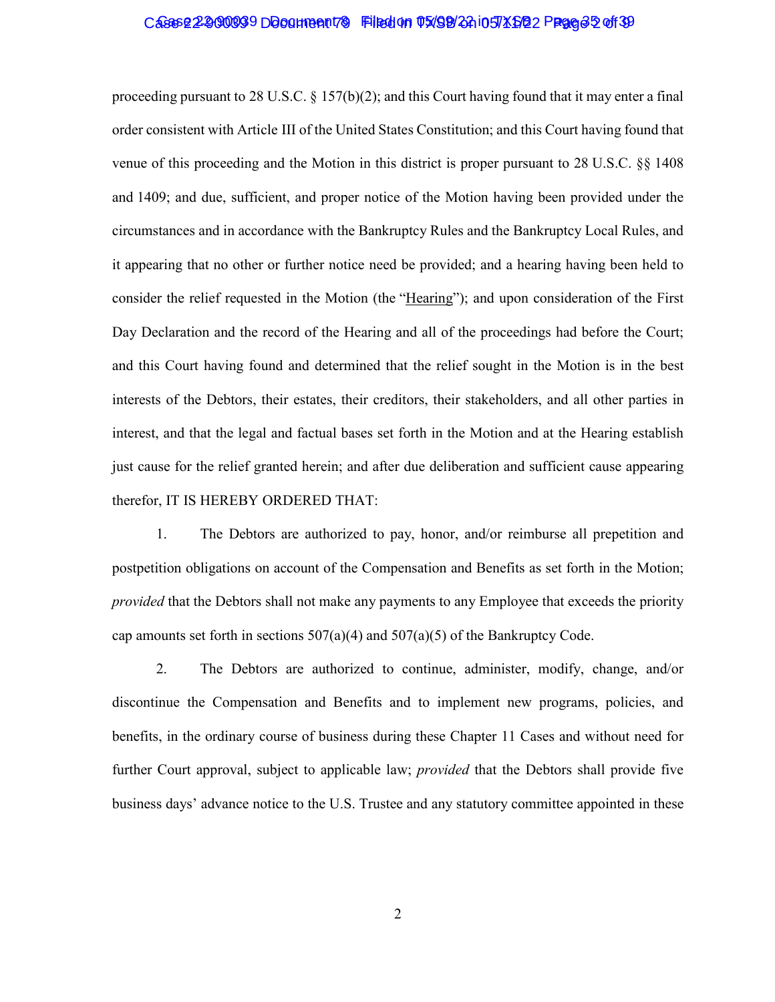#### Cases 22-900039 Document 79 Filed on 05/09/24 in TXSB 2 Prage 35 of 39

proceeding pursuant to 28 U.S.C.  $\S 157(b)(2)$ ; and this Court having found that it may enter a final order consistent with Article III of the United States Constitution; and this Court having found that venue of this proceeding and the Motion in this district is proper pursuant to 28 U.S.C. §§ 1408 and 1409; and due, sufficient, and proper notice of the Motion having been provided under the circumstances and in accordance with the Bankruptcy Rules and the Bankruptcy Local Rules, and it appearing that no other or further notice need be provided; and a hearing having been held to consider the relief requested in the Motion (the "Hearing"); and upon consideration of the First Day Declaration and the record of the Hearing and all of the proceedings had before the Court; and this Court having found and determined that the relief sought in the Motion is in the best interests of the Debtors, their estates, their creditors, their stakeholders, and all other parties in interest, and that the legal and factual bases set forth in the Motion and at the Hearing establish just cause for the relief granted herein; and after due deliberation and sufficient cause appearing therefor, IT IS HEREBY ORDERED THAT:

1. The Debtors are authorized to pay, honor, and/or reimburse all prepetition and postpetition obligations on account of the Compensation and Benefits as set forth in the Motion; *provided* that the Debtors shall not make any payments to any Employee that exceeds the priority cap amounts set forth in sections  $507(a)(4)$  and  $507(a)(5)$  of the Bankruptcy Code.

2. The Debtors are authorized to continue, administer, modify, change, and/or discontinue the Compensation and Benefits and to implement new programs, policies, and benefits, in the ordinary course of business during these Chapter 11 Cases and without need for further Court approval, subject to applicable law; *provided* that the Debtors shall provide five business days' advance notice to the U.S. Trustee and any statutory committee appointed in these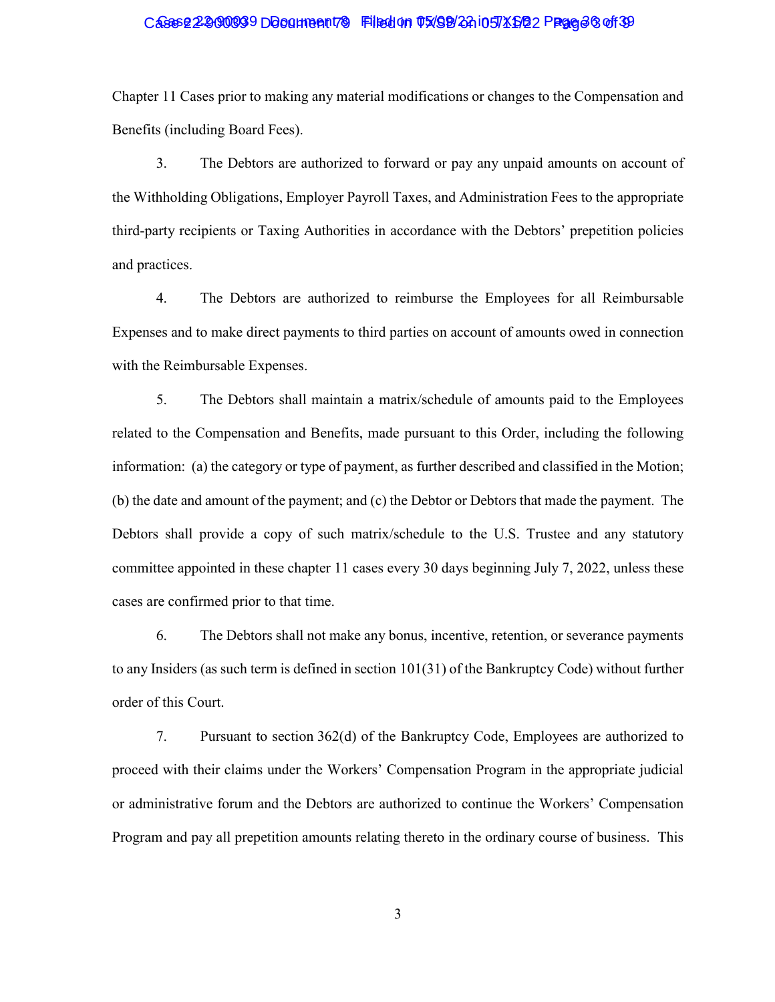### Case 22-900099 Document 79 Filed on 05/98/24 in TXSB 2 Page 36 of 39

Chapter 11 Cases prior to making any material modifications or changes to the Compensation and Benefits (including Board Fees).

3. The Debtors are authorized to forward or pay any unpaid amounts on account of the Withholding Obligations, Employer Payroll Taxes, and Administration Fees to the appropriate third-party recipients or Taxing Authorities in accordance with the Debtors' prepetition policies and practices.

4. The Debtors are authorized to reimburse the Employees for all Reimbursable Expenses and to make direct payments to third parties on account of amounts owed in connection with the Reimbursable Expenses.

5. The Debtors shall maintain a matrix/schedule of amounts paid to the Employees related to the Compensation and Benefits, made pursuant to this Order, including the following information: (a) the category or type of payment, as further described and classified in the Motion; (b) the date and amount of the payment; and (c) the Debtor or Debtors that made the payment. The Debtors shall provide a copy of such matrix/schedule to the U.S. Trustee and any statutory committee appointed in these chapter 11 cases every 30 days beginning July 7, 2022, unless these cases are confirmed prior to that time.

6. The Debtors shall not make any bonus, incentive, retention, or severance payments to any Insiders (as such term is defined in section 101(31) of the Bankruptcy Code) without further order of this Court.

7. Pursuant to section 362(d) of the Bankruptcy Code, Employees are authorized to proceed with their claims under the Workers' Compensation Program in the appropriate judicial or administrative forum and the Debtors are authorized to continue the Workers' Compensation Program and pay all prepetition amounts relating thereto in the ordinary course of business. This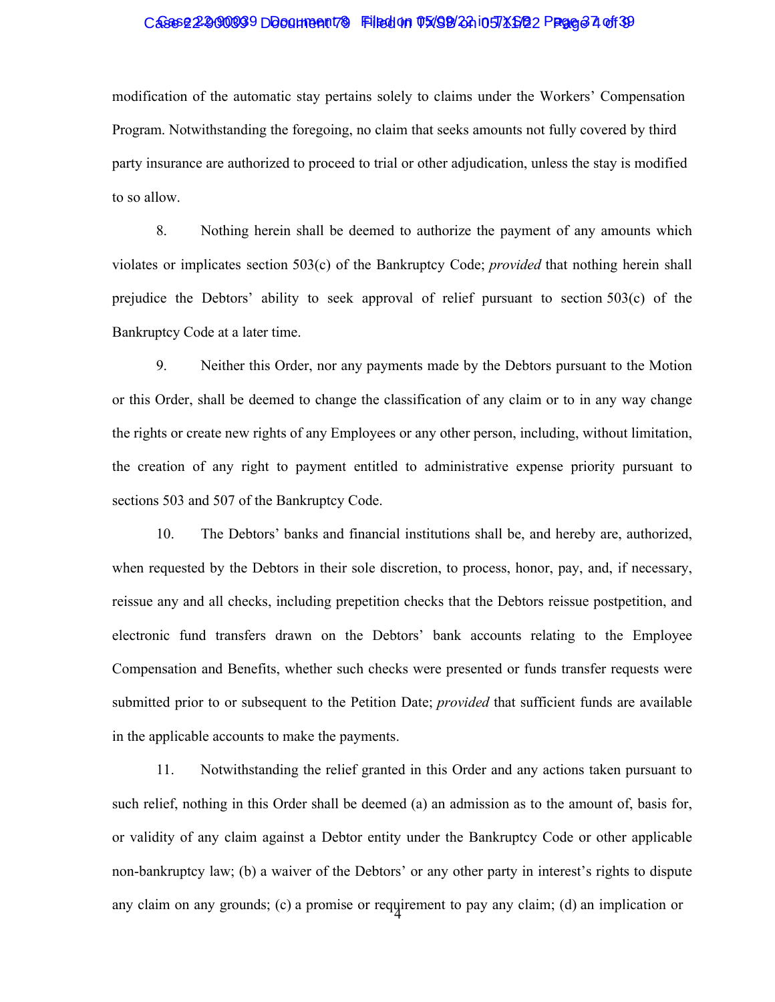### Cases 22-900039 Document 79 Filed on 05/98/24 i05 XSB 2 Prage 37 of 39

modification of the automatic stay pertains solely to claims under the Workers' Compensation Program. Notwithstanding the foregoing, no claim that seeks amounts not fully covered by third party insurance are authorized to proceed to trial or other adjudication, unless the stay is modified to so allow.

8. Nothing herein shall be deemed to authorize the payment of any amounts which violates or implicates section 503(c) of the Bankruptcy Code; *provided* that nothing herein shall prejudice the Debtors' ability to seek approval of relief pursuant to section 503(c) of the Bankruptcy Code at a later time.

9. Neither this Order, nor any payments made by the Debtors pursuant to the Motion or this Order, shall be deemed to change the classification of any claim or to in any way change the rights or create new rights of any Employees or any other person, including, without limitation, the creation of any right to payment entitled to administrative expense priority pursuant to sections 503 and 507 of the Bankruptcy Code.

10. The Debtors' banks and financial institutions shall be, and hereby are, authorized, when requested by the Debtors in their sole discretion, to process, honor, pay, and, if necessary, reissue any and all checks, including prepetition checks that the Debtors reissue postpetition, and electronic fund transfers drawn on the Debtors' bank accounts relating to the Employee Compensation and Benefits, whether such checks were presented or funds transfer requests were submitted prior to or subsequent to the Petition Date; *provided* that sufficient funds are available in the applicable accounts to make the payments.

any claim on any grounds; (c) a promise or requirement to pay any claim; (d) an implication or 11. Notwithstanding the relief granted in this Order and any actions taken pursuant to such relief, nothing in this Order shall be deemed (a) an admission as to the amount of, basis for, or validity of any claim against a Debtor entity under the Bankruptcy Code or other applicable non-bankruptcy law; (b) a waiver of the Debtors' or any other party in interest's rights to dispute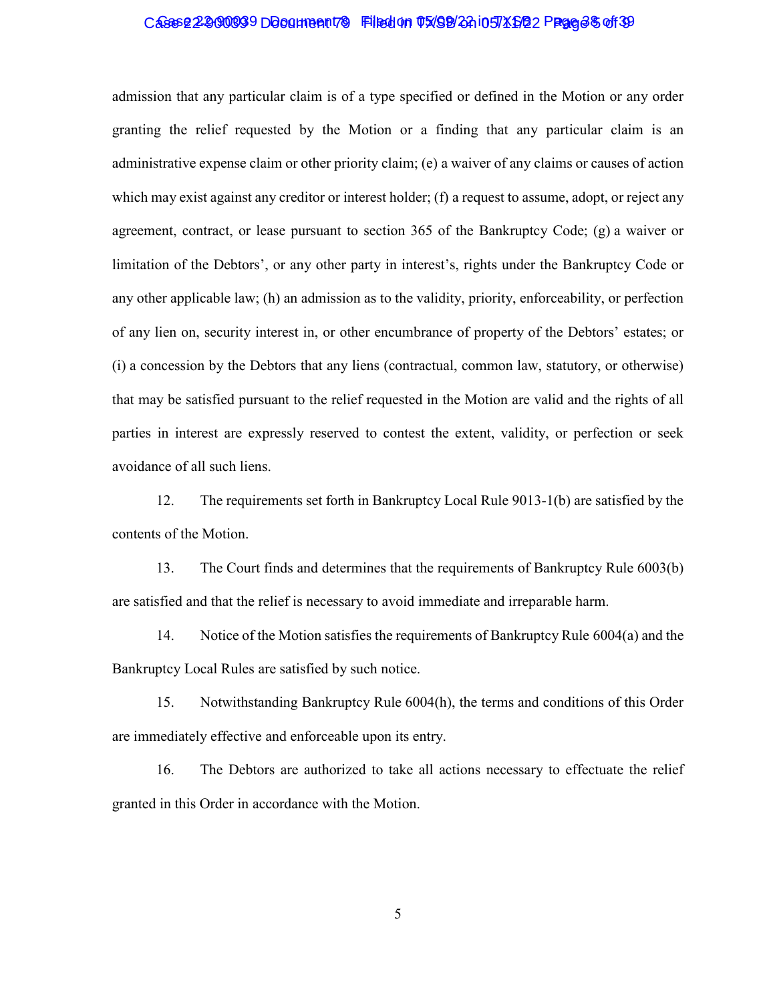### Cases 22-900039 Document 79 Filed on 05/09/22 in TXSB 2 Page 38 of 39

admission that any particular claim is of a type specified or defined in the Motion or any order granting the relief requested by the Motion or a finding that any particular claim is an administrative expense claim or other priority claim; (e) a waiver of any claims or causes of action which may exist against any creditor or interest holder; (f) a request to assume, adopt, or reject any agreement, contract, or lease pursuant to section 365 of the Bankruptcy Code; (g) a waiver or limitation of the Debtors', or any other party in interest's, rights under the Bankruptcy Code or any other applicable law; (h) an admission as to the validity, priority, enforceability, or perfection of any lien on, security interest in, or other encumbrance of property of the Debtors' estates; or (i) a concession by the Debtors that any liens (contractual, common law, statutory, or otherwise) that may be satisfied pursuant to the relief requested in the Motion are valid and the rights of all parties in interest are expressly reserved to contest the extent, validity, or perfection or seek avoidance of all such liens.

12. The requirements set forth in Bankruptcy Local Rule 9013-1(b) are satisfied by the contents of the Motion.

13. The Court finds and determines that the requirements of Bankruptcy Rule 6003(b) are satisfied and that the relief is necessary to avoid immediate and irreparable harm.

14. Notice of the Motion satisfies the requirements of Bankruptcy Rule 6004(a) and the Bankruptcy Local Rules are satisfied by such notice.

15. Notwithstanding Bankruptcy Rule 6004(h), the terms and conditions of this Order are immediately effective and enforceable upon its entry.

16. The Debtors are authorized to take all actions necessary to effectuate the relief granted in this Order in accordance with the Motion.

5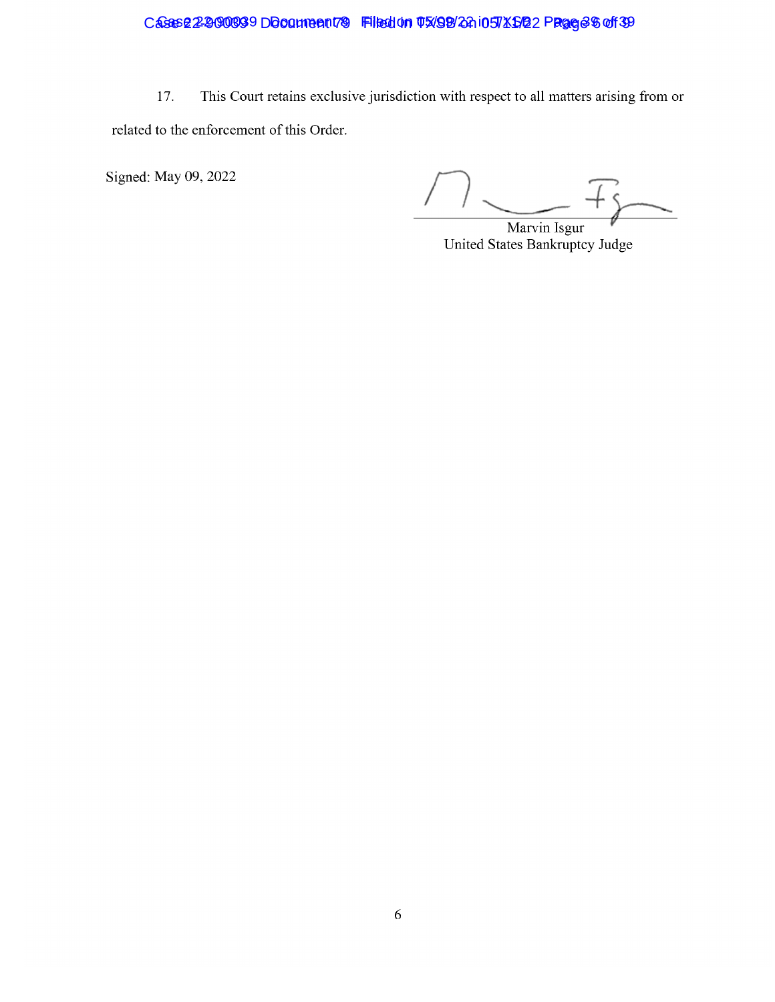Case 22-2000939 Document 79 Filed on 05/98/24 105 X 5/22 Page 6 36 39

This Court retains exclusive jurisdiction with respect to all matters arising from or 17. related to the enforcement of this Order.

Signed: May 09, 2022

Marvin Isgur United States Bankruptcy Judge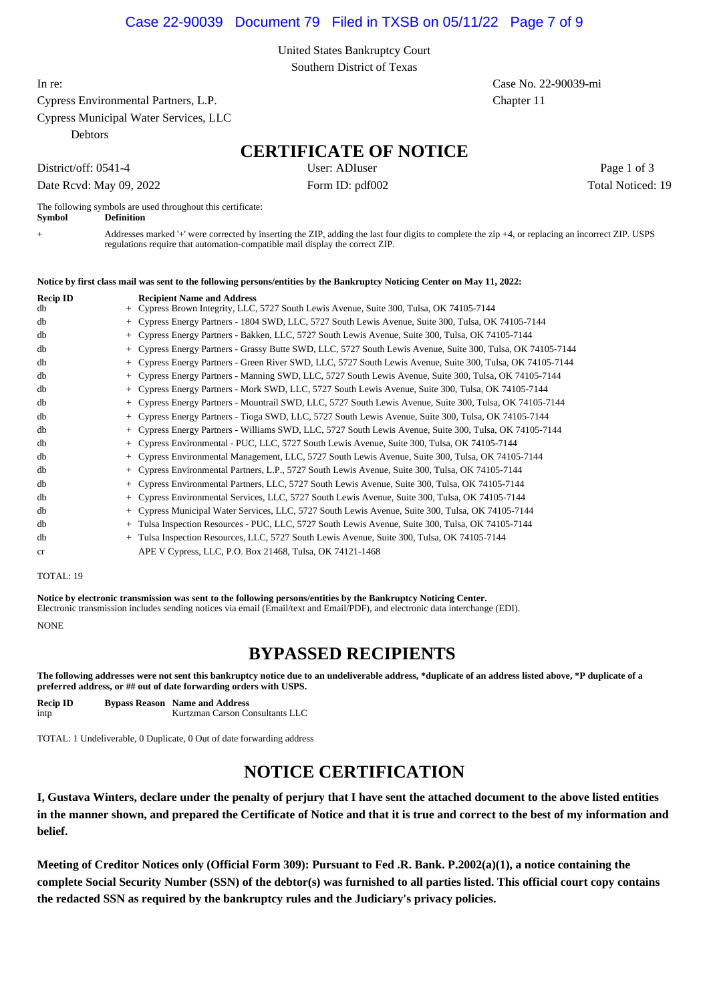#### Case 22-90039 Document 79 Filed in TXSB on 05/11/22 Page 7 of 9

United States Bankruptcy Court Southern District of Texas

Cypress Environmental Partners, L.P. Chapter 11

Cypress Municipal Water Services, LLC

**Debtors** 

## **CERTIFICATE OF NOTICE**

Date Rcvd: May 09, 2022 Form ID: pdf002 Total Noticed: 19

District/off: 0541-4 User: ADIuser User: ADIuser Page 1 of 3

The following symbols are used throughout this certificate:<br>Symbol Definition **Symbol Definition**

+ Addresses marked '+' were corrected by inserting the ZIP, adding the last four digits to complete the zip +4, or replacing an incorrect ZIP. USPS regulations require that automation-compatible mail display the correct ZIP.

#### **Notice by first class mail was sent to the following persons/entities by the Bankruptcy Noticing Center on May 11, 2022:**

| <b>Recip ID</b><br>db |     | <b>Recipient Name and Address</b><br>+ Cypress Brown Integrity, LLC, 5727 South Lewis Avenue, Suite 300, Tulsa, OK 74105-7144 |
|-----------------------|-----|-------------------------------------------------------------------------------------------------------------------------------|
| db                    |     | + Cypress Energy Partners - 1804 SWD, LLC, 5727 South Lewis Avenue, Suite 300, Tulsa, OK 74105-7144                           |
| db                    | $+$ | Cypress Energy Partners - Bakken, LLC, 5727 South Lewis Avenue, Suite 300, Tulsa, OK 74105-7144                               |
| db                    |     | Cypress Energy Partners - Grassy Butte SWD, LLC, 5727 South Lewis Avenue, Suite 300, Tulsa, OK 74105-7144                     |
| db                    | $+$ | Cypress Energy Partners - Green River SWD, LLC, 5727 South Lewis Avenue, Suite 300, Tulsa, OK 74105-7144                      |
| db                    |     | + Cypress Energy Partners - Manning SWD, LLC, 5727 South Lewis Avenue, Suite 300, Tulsa, OK 74105-7144                        |
| db                    |     | + Cypress Energy Partners - Mork SWD, LLC, 5727 South Lewis Avenue, Suite 300, Tulsa, OK 74105-7144                           |
| db                    | $+$ | Cypress Energy Partners - Mountrail SWD, LLC, 5727 South Lewis Avenue, Suite 300, Tulsa, OK 74105-7144                        |
| db                    |     | + Cypress Energy Partners - Tioga SWD, LLC, 5727 South Lewis Avenue, Suite 300, Tulsa, OK 74105-7144                          |
| db                    | $+$ | Cypress Energy Partners - Williams SWD, LLC, 5727 South Lewis Avenue, Suite 300, Tulsa, OK 74105-7144                         |
| db                    | $+$ | Cypress Environmental - PUC, LLC, 5727 South Lewis Avenue, Suite 300, Tulsa, OK 74105-7144                                    |
| db                    | $+$ | Cypress Environmental Management, LLC, 5727 South Lewis Avenue, Suite 300, Tulsa, OK 74105-7144                               |
| db                    | $+$ | Cypress Environmental Partners, L.P., 5727 South Lewis Avenue, Suite 300, Tulsa, OK 74105-7144                                |
| db                    |     | Cypress Environmental Partners, LLC, 5727 South Lewis Avenue, Suite 300, Tulsa, OK 74105-7144                                 |
| db                    |     | Cypress Environmental Services, LLC, 5727 South Lewis Avenue, Suite 300, Tulsa, OK 74105-7144                                 |
| db                    |     | Cypress Municipal Water Services, LLC, 5727 South Lewis Avenue, Suite 300, Tulsa, OK 74105-7144                               |
| db                    |     | Tulsa Inspection Resources - PUC, LLC, 5727 South Lewis Avenue, Suite 300, Tulsa, OK 74105-7144                               |
| db                    | $+$ | Tulsa Inspection Resources, LLC, 5727 South Lewis Avenue, Suite 300, Tulsa, OK 74105-7144                                     |
| <sub>cr</sub>         |     | APE V Cypress, LLC, P.O. Box 21468, Tulsa, OK 74121-1468                                                                      |

#### TOTAL: 19

**Notice by electronic transmission was sent to the following persons/entities by the Bankruptcy Noticing Center.** Electronic transmission includes sending notices via email (Email/text and Email/PDF), and electronic data interchange (EDI). NONE

## **BYPASSED RECIPIENTS**

**The following addresses were not sent this bankruptcy notice due to an undeliverable address, \*duplicate of an address listed above, \*P duplicate of a preferred address, or ## out of date forwarding orders with USPS.**

**Recip ID Bypass Reason Name and Address** intp Kurtzman Carson Consultants LLC

TOTAL: 1 Undeliverable, 0 Duplicate, 0 Out of date forwarding address

## **NOTICE CERTIFICATION**

**I, Gustava Winters, declare under the penalty of perjury that I have sent the attached document to the above listed entities in the manner shown, and prepared the Certificate of Notice and that it is true and correct to the best of my information and belief.**

**Meeting of Creditor Notices only (Official Form 309): Pursuant to Fed .R. Bank. P.2002(a)(1), a notice containing the complete Social Security Number (SSN) of the debtor(s) was furnished to all parties listed. This official court copy contains the redacted SSN as required by the bankruptcy rules and the Judiciary's privacy policies.**

In re: Case No. 22-90039-mi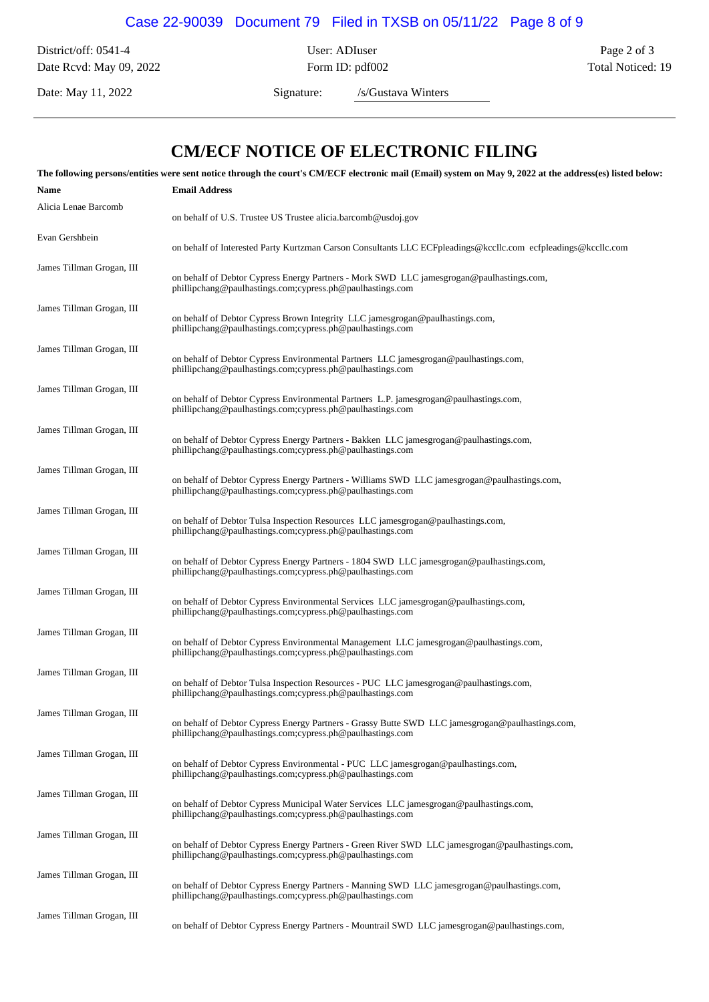## Case 22-90039 Document 79 Filed in TXSB on 05/11/22 Page 8 of 9

District/off: 0541-4 User: ADIuser Page 2 of 3 Date Rcvd: May 09, 2022 Form ID: pdf002 Form 10: pdf002 Total Noticed: 19

Date: May 11, 2022 Signature: /s/Gustava Winters

## **CM/ECF NOTICE OF ELECTRONIC FILING**

| The following persons/entities were sent notice through the court's CM/ECF electronic mail (Email) system on May 9, 2022 at the address(es) listed below: |                                                                                                                                                               |  |  |  |  |
|-----------------------------------------------------------------------------------------------------------------------------------------------------------|---------------------------------------------------------------------------------------------------------------------------------------------------------------|--|--|--|--|
| Name                                                                                                                                                      | <b>Email Address</b>                                                                                                                                          |  |  |  |  |
| Alicia Lenae Barcomb                                                                                                                                      | on behalf of U.S. Trustee US Trustee alicia.barcomb@usdoj.gov                                                                                                 |  |  |  |  |
| Evan Gershbein                                                                                                                                            | on behalf of Interested Party Kurtzman Carson Consultants LLC ECFpleadings@kccllc.com ecfpleadings@kccllc.com                                                 |  |  |  |  |
| James Tillman Grogan, III                                                                                                                                 | on behalf of Debtor Cypress Energy Partners - Mork SWD LLC jamesgrogan@paulhastings.com,<br>phillipchang@paulhastings.com;cypress.ph@paulhastings.com         |  |  |  |  |
| James Tillman Grogan, III                                                                                                                                 | on behalf of Debtor Cypress Brown Integrity LLC jamesgrogan@paulhastings.com,<br>phillipchang@paulhastings.com;cypress.ph@paulhastings.com                    |  |  |  |  |
| James Tillman Grogan, III                                                                                                                                 | on behalf of Debtor Cypress Environmental Partners LLC jamesgrogan@paulhastings.com,<br>phillipchang@paulhastings.com;cypress.ph@paulhastings.com             |  |  |  |  |
| James Tillman Grogan, III                                                                                                                                 | on behalf of Debtor Cypress Environmental Partners L.P. jamesgrogan@paulhastings.com,<br>phillipchang@paulhastings.com;cypress.ph@paulhastings.com            |  |  |  |  |
| James Tillman Grogan, III                                                                                                                                 | on behalf of Debtor Cypress Energy Partners - Bakken LLC jamesgrogan@paulhastings.com,<br>phillipchang@paulhastings.com;cypress.ph@paulhastings.com           |  |  |  |  |
| James Tillman Grogan, III                                                                                                                                 | on behalf of Debtor Cypress Energy Partners - Williams SWD LLC jamesgrogan@paulhastings.com,<br>phillipchang@paulhastings.com;cypress.ph@paulhastings.com     |  |  |  |  |
| James Tillman Grogan, III                                                                                                                                 | on behalf of Debtor Tulsa Inspection Resources LLC jamesgrogan@paulhastings.com,<br>phillipchang@paulhastings.com;cypress.ph@paulhastings.com                 |  |  |  |  |
| James Tillman Grogan, III                                                                                                                                 | on behalf of Debtor Cypress Energy Partners - 1804 SWD LLC jamesgrogan@paulhastings.com,<br>phillipchang@paulhastings.com;cypress.ph@paulhastings.com         |  |  |  |  |
| James Tillman Grogan, III                                                                                                                                 | on behalf of Debtor Cypress Environmental Services LLC jamesgrogan@paulhastings.com,<br>phillipchang@paulhastings.com;cypress.ph@paulhastings.com             |  |  |  |  |
| James Tillman Grogan, III                                                                                                                                 | on behalf of Debtor Cypress Environmental Management LLC jamesgrogan@paulhastings.com,<br>phillipchang@paulhastings.com;cypress.ph@paulhastings.com           |  |  |  |  |
| James Tillman Grogan, III                                                                                                                                 | on behalf of Debtor Tulsa Inspection Resources - PUC LLC jamesgrogan@paulhastings.com,<br>phillipchang@paulhastings.com;cypress.ph@paulhastings.com           |  |  |  |  |
| James Tillman Grogan, III                                                                                                                                 | on behalf of Debtor Cypress Energy Partners - Grassy Butte SWD LLC jamesgrogan@paulhastings.com,<br>phillipchang@paulhastings.com;cypress.ph@paulhastings.com |  |  |  |  |
| James Tillman Grogan, III                                                                                                                                 | on behalf of Debtor Cypress Environmental - PUC LLC jamesgrogan@paulhastings.com,<br>phillipchang@paulhastings.com;cypress.ph@paulhastings.com                |  |  |  |  |
| James Tillman Grogan, III                                                                                                                                 | on behalf of Debtor Cypress Municipal Water Services LLC jamesgrogan@paulhastings.com,<br>phillipchang@paulhastings.com;cypress.ph@paulhastings.com           |  |  |  |  |
| James Tillman Grogan, III                                                                                                                                 | on behalf of Debtor Cypress Energy Partners - Green River SWD LLC jamesgrogan@paulhastings.com,<br>phillipchang@paulhastings.com;cypress.ph@paulhastings.com  |  |  |  |  |
| James Tillman Grogan, III                                                                                                                                 | on behalf of Debtor Cypress Energy Partners - Manning SWD LLC jamesgrogan@paulhastings.com,<br>phillipchang@paulhastings.com;cypress.ph@paulhastings.com      |  |  |  |  |
| James Tillman Grogan, III                                                                                                                                 | on behalf of Debtor Cypress Energy Partners - Mountrail SWD LLC jamesgrogan@paulhastings.com,                                                                 |  |  |  |  |